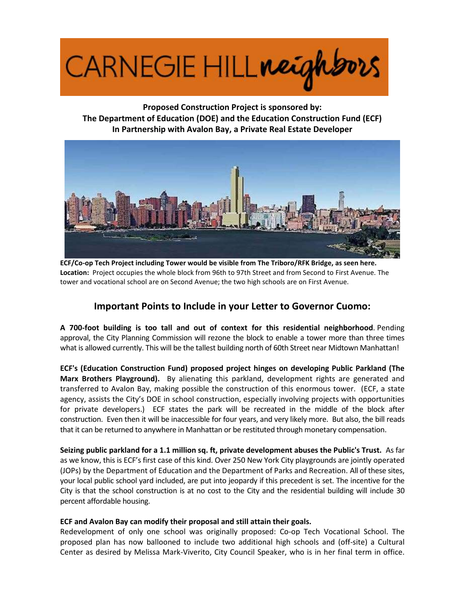

**Proposed Construction Project is sponsored by: The Department of Education (DOE) and the Education Construction Fund (ECF) In Partnership with Avalon Bay, a Private Real Estate Developer**



**ECF/Co-op Tech Project including Tower would be visible from The Triboro/RFK Bridge, as seen here. Location:** Project occupies the whole block from 96th to 97th Street and from Second to First Avenue. The tower and vocational school are on Second Avenue; the two high schools are on First Avenue.

# **Important Points to Include in your Letter to Governor Cuomo:**

**A 700-foot building is too tall and out of context for this residential neighborhood**. Pending approval, the City Planning Commission will rezone the block to enable a tower more than three times what is allowed currently. This will be the tallest building north of 60th Street near Midtown Manhattan!

**ECF's (Education Construction Fund) proposed project hinges on developing Public Parkland (The Marx Brothers Playground).** By alienating this parkland, development rights are generated and transferred to Avalon Bay, making possible the construction of this enormous tower. (ECF, a state agency, assists the City's DOE in school construction, especially involving projects with opportunities for private developers.) ECF states the park will be recreated in the middle of the block after construction. Even then it will be inaccessible for four years, and very likely more. But also, the bill reads that it can be returned to anywhere in Manhattan or be restituted through monetary compensation.

**Seizing public parkland for a 1.1 million sq. ft, private development abuses the Public's Trust.** As far as we know, this is ECF's first case of this kind. Over 250 New York City playgrounds are jointly operated (JOPs) by the Department of Education and the Department of Parks and Recreation. All of these sites, your local public school yard included, are put into jeopardy if this precedent is set. The incentive for the City is that the school construction is at no cost to the City and the residential building will include 30 percent affordable housing.

## **ECF and Avalon Bay can modify their proposal and still attain their goals.**

Redevelopment of only one school was originally proposed: Co-op Tech Vocational School. The proposed plan has now ballooned to include two additional high schools and (off-site) a Cultural Center as desired by Melissa Mark-Viverito, City Council Speaker, who is in her final term in office.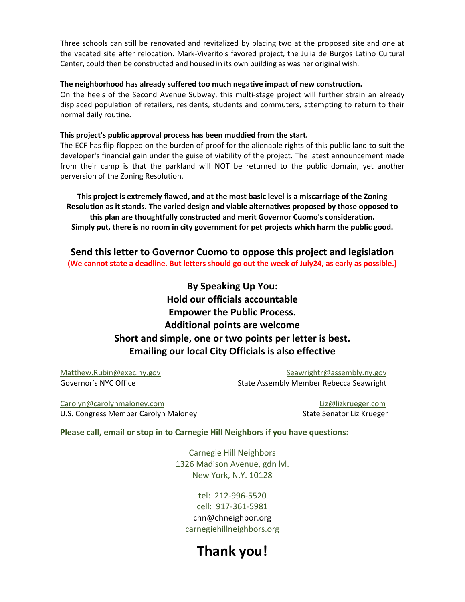Three schools can still be renovated and revitalized by placing two at the proposed site and one at the vacated site after relocation. Mark-Viverito's favored project, the Julia de Burgos Latino Cultural Center, could then be constructed and housed in its own building as was her original wish.

#### **The neighborhood has already suffered too much negative impact of new construction.**

On the heels of the Second Avenue Subway, this multi-stage project will further strain an already displaced population of retailers, residents, students and commuters, attempting to return to their normal daily routine.

#### **This project's public approval process has been muddied from the start.**

The ECF has flip-flopped on the burden of proof for the alienable rights of this public land to suit the developer's financial gain under the guise of viability of the project. The latest announcement made from their camp is that the parkland will NOT be returned to the public domain, yet another perversion of the Zoning Resolution.

**This project is extremely flawed, and at the most basic level is a miscarriage of the Zoning Resolution as it stands. The varied design and viable alternatives proposed by those opposed to this plan are thoughtfully constructed and merit Governor Cuomo's consideration. Simply put, there is no room in city government for pet projects which harm the public good.**

**Send this letter to Governor Cuomo to oppose this project and legislation (We cannot state a deadline. But letters should go out the week of July24, as early as possible.)**

> **By Speaking Up You: Hold our officials accountable Empower the Public Process. Additional points are welcome Short and simple, one or two points per letter is best. Emailing our local City Officials is also effective**

[Matthew.Rubin@exec.ny.gov](mailto:Matthew.Rubin@exec.ny.gov) example are seawrightr@assembly.ny.gov Governor's NYC Office **State Assembly Member Rebecca Seawright** 

[Carolyn@carolynmaloney.com](mailto:Carolyn@carolynmaloney.com) [Liz@lizkrueger.com](mailto:Liz@lizkrueger.com) U.S. Congress Member Carolyn Maloney North Congress Member Carolyn Maloney

## **Please call, email or stop in to Carnegie Hill Neighbors if you have questions:**

Carnegie Hill Neighbors 1326 Madison Avenue, gdn lvl. New York, N.Y. 10128

tel: 212-996-5520 cell: 917-361-5981 chn@chneighbor.org [carnegiehillneighbors.org](../../../../AppData/Local/Microsoft/Windows/Temporary%20Internet%20Files/Content.Outlook/AppData/Local/Microsoft/Windows/INetCache/Content.Outlook/AppData/Local/AppData/Local/Temp/www.carnegiehillneighbors.org)

# **Thank you!**